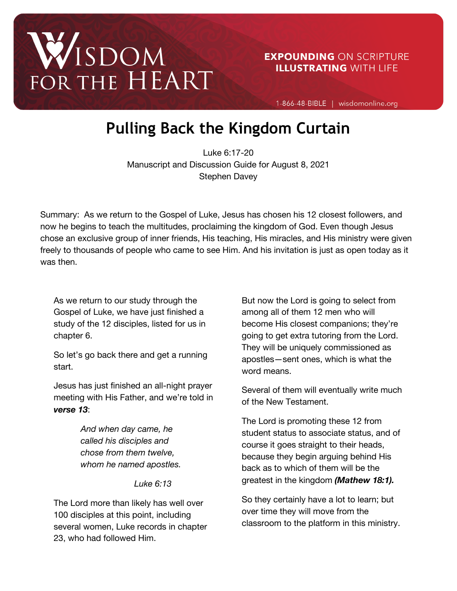

1-866-48-BIBLE | wisdomonline.org

## **Pulling Back the Kingdom Curtain**

Luke 6:17-20 Manuscript and Discussion Guide for August 8, 2021 Stephen Davey

Summary: As we return to the Gospel of Luke, Jesus has chosen his 12 closest followers, and now he begins to teach the multitudes, proclaiming the kingdom of God. Even though Jesus chose an exclusive group of inner friends, His teaching, His miracles, and His ministry were given freely to thousands of people who came to see Him. And his invitation is just as open today as it was then.

As we return to our study through the Gospel of Luke, we have just finished a study of the 12 disciples, listed for us in chapter 6.

So let's go back there and get a running start.

Jesus has just finished an all-night prayer meeting with His Father, and we're told in *verse 13*:

> *And when day came, he called his disciples and chose from them twelve, whom he named apostles.*

> > *Luke 6:13*

The Lord more than likely has well over 100 disciples at this point, including several women, Luke records in chapter 23, who had followed Him.

But now the Lord is going to select from among all of them 12 men who will become His closest companions; they're going to get extra tutoring from the Lord. They will be uniquely commissioned as apostles—sent ones, which is what the word means.

Several of them will eventually write much of the New Testament.

The Lord is promoting these 12 from student status to associate status, and of course it goes straight to their heads, because they begin arguing behind His back as to which of them will be the greatest in the kingdom *(Mathew 18:1).*

So they certainly have a lot to learn; but over time they will move from the classroom to the platform in this ministry.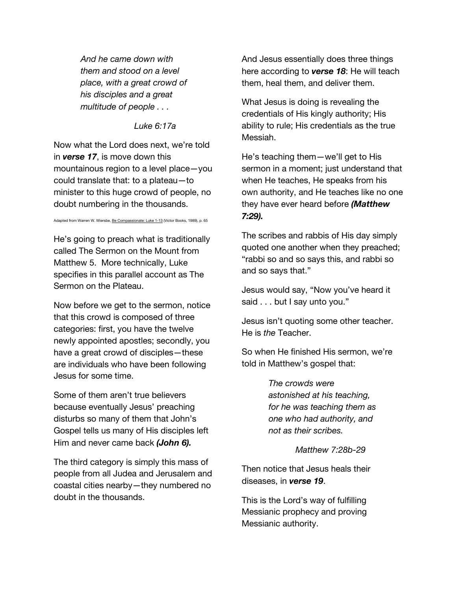*And he came down with them and stood on a level place, with a great crowd of his disciples and a great multitude of people . . .*

*Luke 6:17a*

Now what the Lord does next, we're told in *verse 17*, is move down this mountainous region to a level place—you could translate that: to a plateau—to minister to this huge crowd of people, no doubt numbering in the thousands.

Adapted from Warren W. Wiersbe, Be Compassionate: Luke 1-13 (Victor Books, 1989), p. 65

He's going to preach what is traditionally called The Sermon on the Mount from Matthew 5. More technically, Luke specifies in this parallel account as The Sermon on the Plateau.

Now before we get to the sermon, notice that this crowd is composed of three categories: first, you have the twelve newly appointed apostles; secondly, you have a great crowd of disciples—these are individuals who have been following Jesus for some time.

Some of them aren't true believers because eventually Jesus' preaching disturbs so many of them that John's Gospel tells us many of His disciples left Him and never came back *(John 6).*

The third category is simply this mass of people from all Judea and Jerusalem and coastal cities nearby—they numbered no doubt in the thousands.

And Jesus essentially does three things here according to *verse 18*: He will teach them, heal them, and deliver them.

What Jesus is doing is revealing the credentials of His kingly authority; His ability to rule; His credentials as the true Messiah.

He's teaching them—we'll get to His sermon in a moment; just understand that when He teaches, He speaks from his own authority, and He teaches like no one they have ever heard before *(Matthew 7:29).*

The scribes and rabbis of His day simply quoted one another when they preached; "rabbi so and so says this, and rabbi so and so says that."

Jesus would say, "Now you've heard it said . . . but I say unto you."

Jesus isn't quoting some other teacher. He is *the* Teacher.

So when He finished His sermon, we're told in Matthew's gospel that:

> *The crowds were astonished at his teaching, for he was teaching them as one who had authority, and not as their scribes.*

> > *Matthew 7:28b-29*

Then notice that Jesus heals their diseases, in *verse 19*.

This is the Lord's way of fulfilling Messianic prophecy and proving Messianic authority.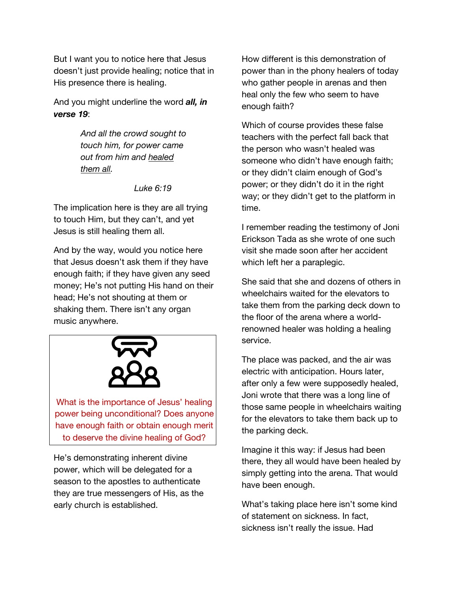But I want you to notice here that Jesus doesn't just provide healing; notice that in His presence there is healing.

And you might underline the word *all, in verse 19*:

> *And all the crowd sought to touch him, for power came out from him and healed them all.*

> > *Luke 6:19*

The implication here is they are all trying to touch Him, but they can't, and yet Jesus is still healing them all.

And by the way, would you notice here that Jesus doesn't ask them if they have enough faith; if they have given any seed money; He's not putting His hand on their head; He's not shouting at them or shaking them. There isn't any organ music anywhere.



What is the importance of Jesus' healing power being unconditional? Does anyone have enough faith or obtain enough merit to deserve the divine healing of God?

He's demonstrating inherent divine power, which will be delegated for a season to the apostles to authenticate they are true messengers of His, as the early church is established.

How different is this demonstration of power than in the phony healers of today who gather people in arenas and then heal only the few who seem to have enough faith?

Which of course provides these false teachers with the perfect fall back that the person who wasn't healed was someone who didn't have enough faith; or they didn't claim enough of God's power; or they didn't do it in the right way; or they didn't get to the platform in time.

I remember reading the testimony of Joni Erickson Tada as she wrote of one such visit she made soon after her accident which left her a paraplegic.

She said that she and dozens of others in wheelchairs waited for the elevators to take them from the parking deck down to the floor of the arena where a worldrenowned healer was holding a healing service.

The place was packed, and the air was electric with anticipation. Hours later, after only a few were supposedly healed, Joni wrote that there was a long line of those same people in wheelchairs waiting for the elevators to take them back up to the parking deck.

Imagine it this way: if Jesus had been there, they all would have been healed by simply getting into the arena. That would have been enough.

What's taking place here isn't some kind of statement on sickness. In fact, sickness isn't really the issue. Had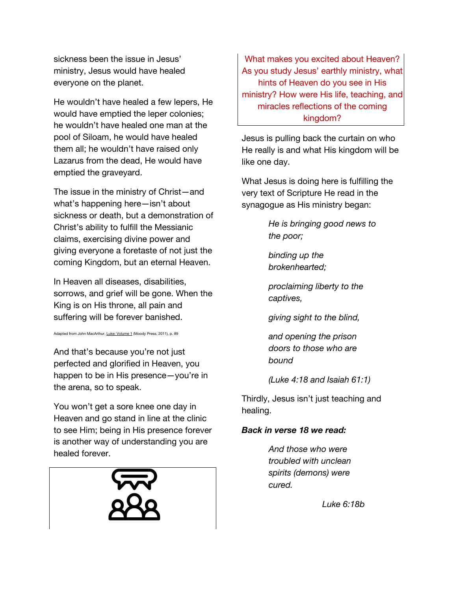sickness been the issue in Jesus' ministry, Jesus would have healed everyone on the planet.

He wouldn't have healed a few lepers, He would have emptied the leper colonies; he wouldn't have healed one man at the pool of Siloam, he would have healed them all; he wouldn't have raised only Lazarus from the dead, He would have emptied the graveyard.

The issue in the ministry of Christ—and what's happening here—isn't about sickness or death, but a demonstration of Christ's ability to fulfill the Messianic claims, exercising divine power and giving everyone a foretaste of not just the coming Kingdom, but an eternal Heaven.

In Heaven all diseases, disabilities, sorrows, and grief will be gone. When the King is on His throne, all pain and suffering will be forever banished.

Adapted from John MacArthur, Luke: Volume 1 (Moody Press, 2011), p. 89

And that's because you're not just perfected and glorified in Heaven, you happen to be in His presence—you're in the arena, so to speak.

You won't get a sore knee one day in Heaven and go stand in line at the clinic to see Him; being in His presence forever is another way of understanding you are healed forever.



What makes you excited about Heaven? As you study Jesus' earthly ministry, what hints of Heaven do you see in His ministry? How were His life, teaching, and miracles reflections of the coming kingdom?

Jesus is pulling back the curtain on who He really is and what His kingdom will be like one day.

What Jesus is doing here is fulfilling the very text of Scripture He read in the synagogue as His ministry began:

> *He is bringing good news to the poor;*

*binding up the brokenhearted;* 

*proclaiming liberty to the captives,* 

*giving sight to the blind,*

*and opening the prison doors to those who are bound* 

*(Luke 4:18 and Isaiah 61:1)*

Thirdly, Jesus isn't just teaching and healing.

## *Back in verse 18 we read:*

*And those who were troubled with unclean spirits (demons) were cured.*

*Luke 6:18b*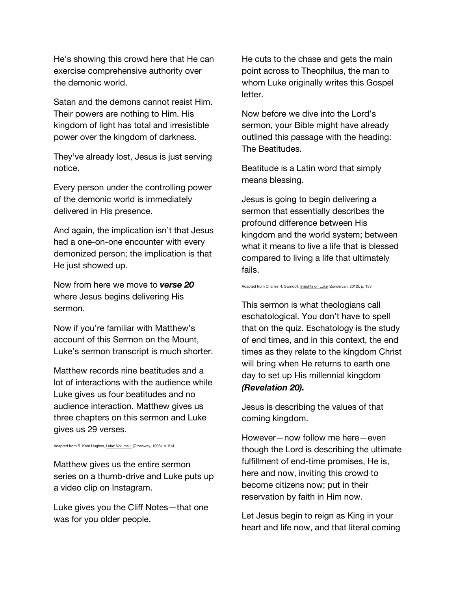He's showing this crowd here that He can exercise comprehensive authority over the demonic world.

Satan and the demons cannot resist Him. Their powers are nothing to Him. His kingdom of light has total and irresistible power over the kingdom of darkness.

They've already lost, Jesus is just serving notice.

Every person under the controlling power of the demonic world is immediately delivered in His presence.

And again, the implication isn't that Jesus had a one-on-one encounter with every demonized person; the implication is that He just showed up.

Now from here we move to *verse 20* where Jesus begins delivering His sermon.

Now if you're familiar with Matthew's account of this Sermon on the Mount, Luke's sermon transcript is much shorter.

Matthew records nine beatitudes and a lot of interactions with the audience while Luke gives us four beatitudes and no audience interaction. Matthew gives us three chapters on this sermon and Luke gives us 29 verses.

Adapted from R. Kent Hughes, Luke: Volume 1 (Crossway, 1998), p. 214

Matthew gives us the entire sermon series on a thumb-drive and Luke puts up a video clip on Instagram.

Luke gives you the Cliff Notes—that one was for you older people.

He cuts to the chase and gets the main point across to Theophilus, the man to whom Luke originally writes this Gospel letter.

Now before we dive into the Lord's sermon, your Bible might have already outlined this passage with the heading: The Beatitudes.

Beatitude is a Latin word that simply means blessing.

Jesus is going to begin delivering a sermon that essentially describes the profound difference between His kingdom and the world system; between what it means to live a life that is blessed compared to living a life that ultimately fails.

Adapted from Charles R. Swindoll, Insights on Luke (Zondervan, 2012), p. 153

This sermon is what theologians call eschatological. You don't have to spell that on the quiz. Eschatology is the study of end times, and in this context, the end times as they relate to the kingdom Christ will bring when He returns to earth one day to set up His millennial kingdom *(Revelation 20).*

Jesus is describing the values of that coming kingdom.

However—now follow me here—even though the Lord is describing the ultimate fulfillment of end-time promises, He is, here and now, inviting this crowd to become citizens now; put in their reservation by faith in Him now.

Let Jesus begin to reign as King in your heart and life now, and that literal coming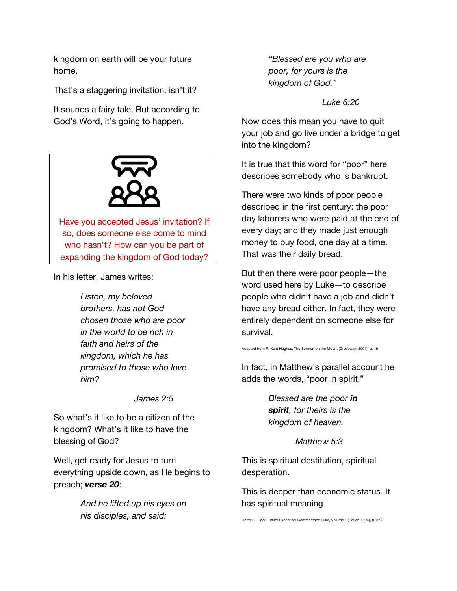kingdom on earth will be your future home.

That's a staggering invitation, isn't it?

It sounds a fairy tale. But according to God's Word, it's going to happen.



Have you accepted Jesus' invitation? If so, does someone else come to mind who hasn't? How can you be part of expanding the kingdom of God today?

In his letter, James writes:

*Listen, my beloved brothers, has not God chosen those who are poor in the world to be rich in faith and heirs of the kingdom, which he has promised to those who love him?*

*James 2:5*

So what's it like to be a citizen of the kingdom? What's it like to have the blessing of God?

Well, get ready for Jesus to turn everything upside down, as He begins to preach; *verse 20*:

> *And he lifted up his eyes on his disciples, and said:*

*"Blessed are you who are poor, for yours is the kingdom of God."*

*Luke 6:20*

Now does this mean you have to quit your job and go live under a bridge to get into the kingdom?

It is true that this word for "poor" here describes somebody who is bankrupt.

There were two kinds of poor people described in the first century: the poor day laborers who were paid at the end of every day; and they made just enough money to buy food, one day at a time. That was their daily bread.

But then there were poor people—the word used here by Luke—to describe people who didn't have a job and didn't have any bread either. In fact, they were entirely dependent on someone else for survival.

Adapted from R. Kent Hughes, The Sermon on the Mount (Crossway, 2001), p. 19

In fact, in Matthew's parallel account he adds the words, "poor in spirit."

> *Blessed are the poor in spirit, for theirs is the kingdom of heaven.*

> > *Matthew 5:3*

This is spiritual destitution, spiritual desperation.

This is deeper than economic status. It has spiritual meaning

Darrell L. Bock, Baker Exegetical Commentary: Luke, Volume 1 (Baker, 1994), p. 573